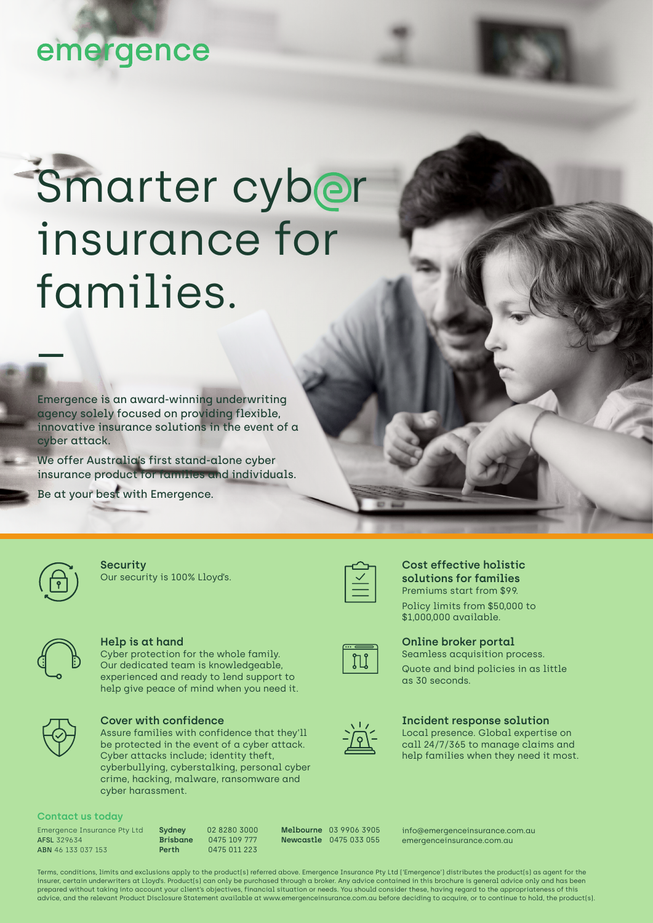## emergence

# Smarter cyber insurance for families. \_

Emergence is an award-winning underwriting agency solely focused on providing flexible, innovative insurance solutions in the event of a cyber attack.

We offer Australia's first stand-alone cyber insurance product for families and individuals.

Our security is 100% Lloyd's.

Be at your best with Emergence.

**Security** 

**Help is at hand** Cyber protection for the whole family. Our dedicated team is knowledgeable, experienced and ready to lend support to help give peace of mind when you need it.



#### **Cover with confidence**

Assure families with confidence that they'll be protected in the event of a cyber attack. Cyber attacks include; identity theft, cyberbullying, cyberstalking, personal cyber crime, hacking, malware, ransomware and cyber harassment.

#### **Contact us today**

Emergence Insurance Pty Ltd AFSL 329634 ABN 46 133 037 153

**Sydney** 02 8280 3000 **Brisbane** 0475 109 777 **Perth** 0475 011 223

**Melbourne** 03 9906 3905 **Newcastle** 0475 033 055

info@emergenceinsurance.com.au emergenceinsurance.com.au

Terms, conditions, limits and exclusions apply to the product(s) referred above. Emergence Insurance Pty Ltd ('Emergence') distributes the product(s) as agent for the insurer, certain underwriters at Lloyd's. Product(s) can only be purchased through a broker. Any advice contained in this brochure is general advice only and has been prepared without taking into account your client's objectives, financial situation or needs. You should consider these, having regard to the appropriateness of this advice, and the relevant Product Disclosure Statement available at www.emergenceinsurance.com.au before deciding to acquire, or to continue to hold, the product(s).



#### **Cost effective holistic solutions for families** Premiums start from \$99. Policy limits from \$50,000 to \$1,000,000 available.



#### **Online broker portal** Seamless acquisition process.



#### Quote and bind policies in as little as 30 seconds.



#### **Incident response solution**

Local presence. Global expertise on call 24/7/365 to manage claims and help families when they need it most.